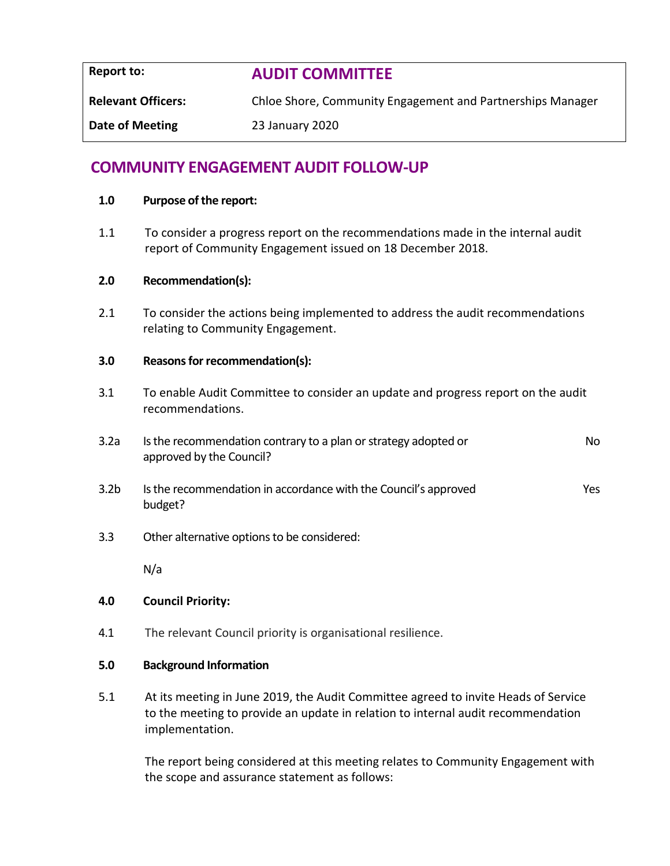**Report to: AUDIT COMMITTEE Relevant Officers:** Chloe Shore, Community Engagement and Partnerships Manager **Date of Meeting** 23 January 2020

# **COMMUNITY ENGAGEMENT AUDIT FOLLOW-UP**

#### **1.0 Purpose of the report:**

1.1 To consider a progress report on the recommendations made in the internal audit report of Community Engagement issued on 18 December 2018.

#### **2.0 Recommendation(s):**

2.1 To consider the actions being implemented to address the audit recommendations relating to Community Engagement.

#### **3.0 Reasons for recommendation(s):**

- 3.1 To enable Audit Committee to consider an update and progress report on the audit recommendations.
- 3.2a Is the recommendation contrary to a plan or strategy adopted or approved by the Council? No
- 3.2b Is the recommendation in accordance with the Council's approved budget? Yes
- 3.3 Other alternative options to be considered:

N/a

#### **4.0 Council Priority:**

4.1 The relevant Council priority is organisational resilience.

#### **5.0 Background Information**

5.1 At its meeting in June 2019, the Audit Committee agreed to invite Heads of Service to the meeting to provide an update in relation to internal audit recommendation implementation.

The report being considered at this meeting relates to Community Engagement with the scope and assurance statement as follows: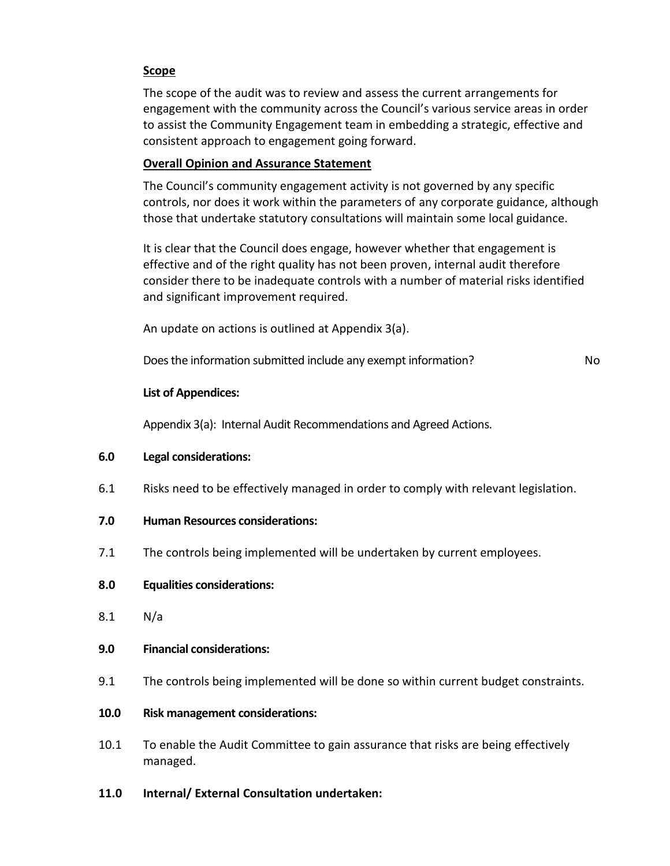#### **Scope**

The scope of the audit was to review and assess the current arrangements for engagement with the community across the Council's various service areas in order to assist the Community Engagement team in embedding a strategic, effective and consistent approach to engagement going forward.

#### **Overall Opinion and Assurance Statement**

The Council's community engagement activity is not governed by any specific controls, nor does it work within the parameters of any corporate guidance, although those that undertake statutory consultations will maintain some local guidance.

It is clear that the Council does engage, however whether that engagement is effective and of the right quality has not been proven, internal audit therefore consider there to be inadequate controls with a number of material risks identified and significant improvement required.

An update on actions is outlined at Appendix 3(a).

Does the information submitted include any exempt information? No

### **List of Appendices:**

Appendix 3(a): Internal Audit Recommendations and Agreed Actions.

#### **6.0 Legal considerations:**

- 6.1 Risks need to be effectively managed in order to comply with relevant legislation.
- **7.0 Human Resources considerations:**
- 7.1 The controls being implemented will be undertaken by current employees.
- **8.0 Equalities considerations:**
- 8.1 N/a
- **9.0 Financial considerations:**
- 9.1 The controls being implemented will be done so within current budget constraints.

#### **10.0 Risk management considerations:**

- 10.1 To enable the Audit Committee to gain assurance that risks are being effectively managed.
- **11.0 Internal/ External Consultation undertaken:**